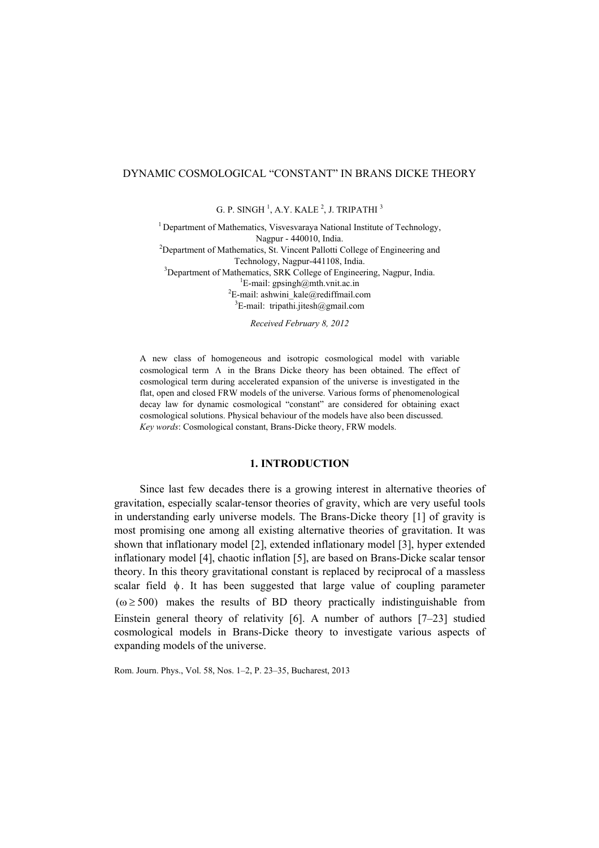# DYNAMIC COSMOLOGICAL "CONSTANT" IN BRANS DICKE THEORY

G. P. SINGH  $^1$ , A.Y. KALE  $^2$ , J. TRIPATHI  $^3$ 

<sup>1</sup> Department of Mathematics, Visvesvaraya National Institute of Technology, Nagpur - 440010, India. Nagpur - 440010, India.<br><sup>2</sup>Department of Mathematics, St. Vincent Pallotti College of Engineering and Technology, Nagpur-441108, India.<br><sup>3</sup>Department of Mathematics, SBK Collage of Engineer Department of Mathematics, SRK College of Engineering, Nagpur, India. <sup>1</sup>E-mail: gpsingh@mth.vnit.ac.in  $E$ -mail: ashwini\_kale@rediffmail.com  ${}^{3}$ E-mail: tripathi.jitesh@gmail.com

*Received February 8, 2012* 

A new class of homogeneous and isotropic cosmological model with variable cosmological term  $\Lambda$  in the Brans Dicke theory has been obtained. The effect of cosmological term during accelerated expansion of the universe is investigated in the flat, open and closed FRW models of the universe. Various forms of phenomenological decay law for dynamic cosmological "constant" are considered for obtaining exact cosmological solutions. Physical behaviour of the models have also been discussed. *Key words*: Cosmological constant, Brans-Dicke theory, FRW models.

#### **1. INTRODUCTION**

Since last few decades there is a growing interest in alternative theories of gravitation, especially scalar-tensor theories of gravity, which are very useful tools in understanding early universe models. The Brans-Dicke theory [1] of gravity is most promising one among all existing alternative theories of gravitation. It was shown that inflationary model [2], extended inflationary model [3], hyper extended inflationary model [4], chaotic inflation [5], are based on Brans-Dicke scalar tensor theory. In this theory gravitational constant is replaced by reciprocal of a massless scalar field  $\phi$ . It has been suggested that large value of coupling parameter  $(\omega \ge 500)$  makes the results of BD theory practically indistinguishable from Einstein general theory of relativity [6]. A number of authors [7–23] studied cosmological models in Brans-Dicke theory to investigate various aspects of expanding models of the universe.

Rom. Journ. Phys., Vol. 58, Nos. 1–2, P. 23–35, Bucharest, 2013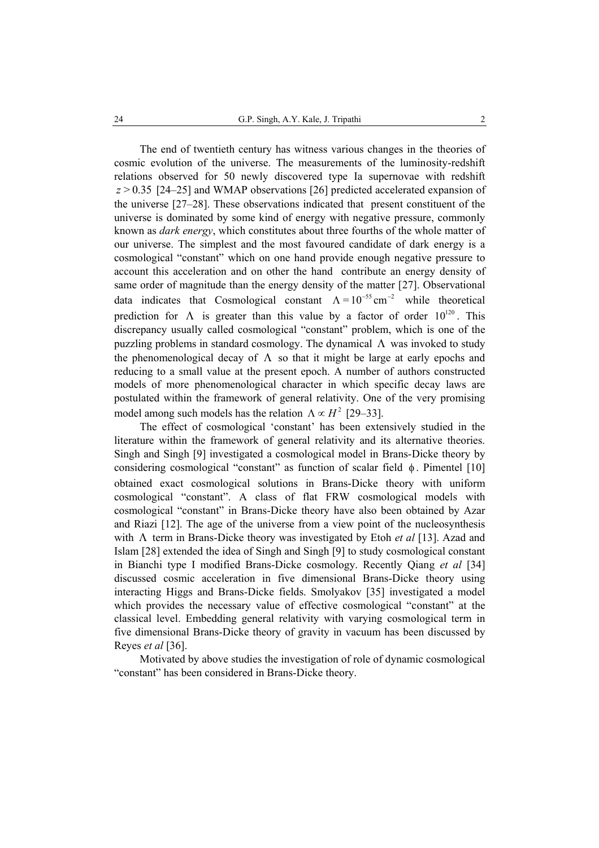The end of twentieth century has witness various changes in the theories of cosmic evolution of the universe. The measurements of the luminosity-redshift relations observed for 50 newly discovered type Ia supernovae with redshift *z* > 0.35 [24–25] and WMAP observations [26] predicted accelerated expansion of the universe [27–28]. These observations indicated that present constituent of the universe is dominated by some kind of energy with negative pressure, commonly known as *dark energy*, which constitutes about three fourths of the whole matter of our universe. The simplest and the most favoured candidate of dark energy is a cosmological "constant" which on one hand provide enough negative pressure to account this acceleration and on other the hand contribute an energy density of same order of magnitude than the energy density of the matter [27]. Observational data indicates that Cosmological constant  $\Lambda = 10^{-55} \text{ cm}^{-2}$  while theoretical prediction for  $\Lambda$  is greater than this value by a factor of order  $10^{120}$ . This discrepancy usually called cosmological "constant" problem, which is one of the puzzling problems in standard cosmology. The dynamical  $\Lambda$  was invoked to study the phenomenological decay of  $\Lambda$  so that it might be large at early epochs and reducing to a small value at the present epoch. A number of authors constructed models of more phenomenological character in which specific decay laws are postulated within the framework of general relativity. One of the very promising model among such models has the relation  $\Lambda \propto H^2$  [29–33].

The effect of cosmological 'constant' has been extensively studied in the literature within the framework of general relativity and its alternative theories. Singh and Singh [9] investigated a cosmological model in Brans-Dicke theory by considering cosmological "constant" as function of scalar field  $\phi$ . Pimentel [10] obtained exact cosmological solutions in Brans-Dicke theory with uniform cosmological "constant". A class of flat FRW cosmological models with cosmological "constant" in Brans-Dicke theory have also been obtained by Azar and Riazi [12]. The age of the universe from a view point of the nucleosynthesis with Λ term in Brans-Dicke theory was investigated by Etoh *et al* [13]. Azad and Islam [28] extended the idea of Singh and Singh [9] to study cosmological constant in Bianchi type I modified Brans-Dicke cosmology. Recently Qiang *et al* [34] discussed cosmic acceleration in five dimensional Brans-Dicke theory using interacting Higgs and Brans-Dicke fields. Smolyakov [35] investigated a model which provides the necessary value of effective cosmological "constant" at the classical level. Embedding general relativity with varying cosmological term in five dimensional Brans-Dicke theory of gravity in vacuum has been discussed by Reyes *et al* [36].

Motivated by above studies the investigation of role of dynamic cosmological "constant" has been considered in Brans-Dicke theory.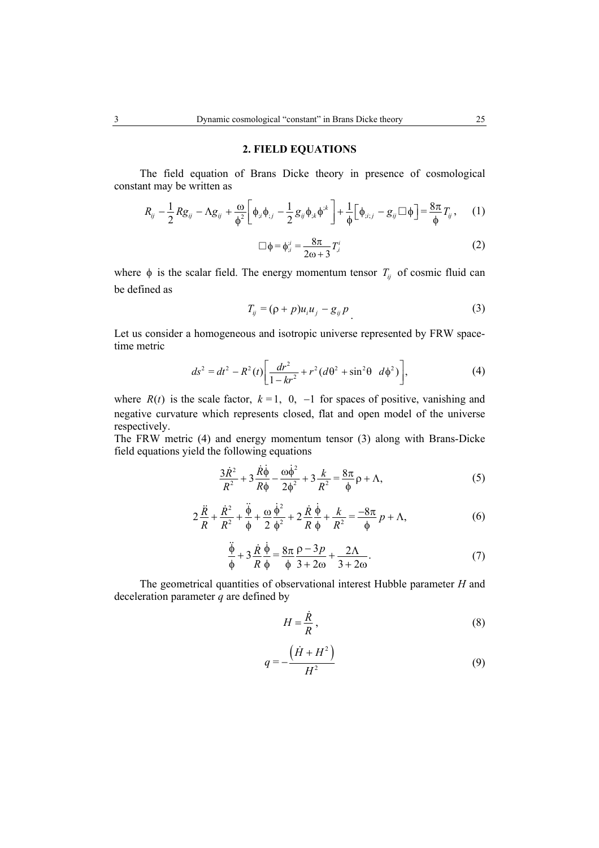### **2. FIELD EQUATIONS**

The field equation of Brans Dicke theory in presence of cosmological constant may be written as

$$
R_{ij} - \frac{1}{2} Rg_{ij} - \Lambda g_{ij} + \frac{\omega}{\phi^2} \left[ \phi_{;i} \phi_{;j} - \frac{1}{2} g_{ij} \phi_{;k} \phi^{;k} \right] + \frac{1}{\phi} \left[ \phi_{;i;j} - g_{ij} \Box \phi \right] = \frac{8\pi}{\phi} T_{ij}, \quad (1)
$$

$$
\Box \phi = \phi_{;i}^{;i} = \frac{8\pi}{2\omega + 3} T_{,i}^{i} \tag{2}
$$

where  $\phi$  is the scalar field. The energy momentum tensor  $T_{ij}$  of cosmic fluid can be defined as

$$
T_{ij} = (\rho + p)u_i u_j - g_{ij} p \tag{3}
$$

Let us consider a homogeneous and isotropic universe represented by FRW spacetime metric

$$
ds^{2} = dt^{2} - R^{2}(t) \left[ \frac{dr^{2}}{1 - kr^{2}} + r^{2} (d\theta^{2} + \sin^{2}\theta \ d\phi^{2}) \right],
$$
 (4)

where  $R(t)$  is the scale factor,  $k = 1, 0, -1$  for spaces of positive, vanishing and negative curvature which represents closed, flat and open model of the universe respectively.

The FRW metric (4) and energy momentum tensor (3) along with Brans-Dicke field equations yield the following equations

$$
\frac{3\dot{R}^2}{R^2} + 3\frac{\dot{R}\dot{\phi}}{R\phi} - \frac{\omega\dot{\phi}^2}{2\phi^2} + 3\frac{k}{R^2} = \frac{8\pi}{\phi}\rho + \Lambda,\tag{5}
$$

$$
2\frac{\ddot{R}}{R} + \frac{\dot{R}^2}{R^2} + \frac{\ddot{\phi}}{\phi} + \frac{\omega}{2}\frac{\dot{\phi}^2}{\phi^2} + 2\frac{\dot{R}}{R}\frac{\dot{\phi}}{\phi} + \frac{k}{R^2} = \frac{-8\pi}{\phi}p + \Lambda,
$$
 (6)

$$
\frac{\ddot{\phi}}{\phi} + 3\frac{\dot{R}}{R}\frac{\dot{\phi}}{\phi} = \frac{8\pi}{\phi}\frac{\rho - 3p}{3 + 2\omega} + \frac{2\Lambda}{3 + 2\omega}.
$$
\n(7)

The geometrical quantities of observational interest Hubble parameter *H* and deceleration parameter *q* are defined by

$$
H = \frac{\dot{R}}{R},\tag{8}
$$

$$
q = -\frac{\left(\dot{H} + H^2\right)}{H^2} \tag{9}
$$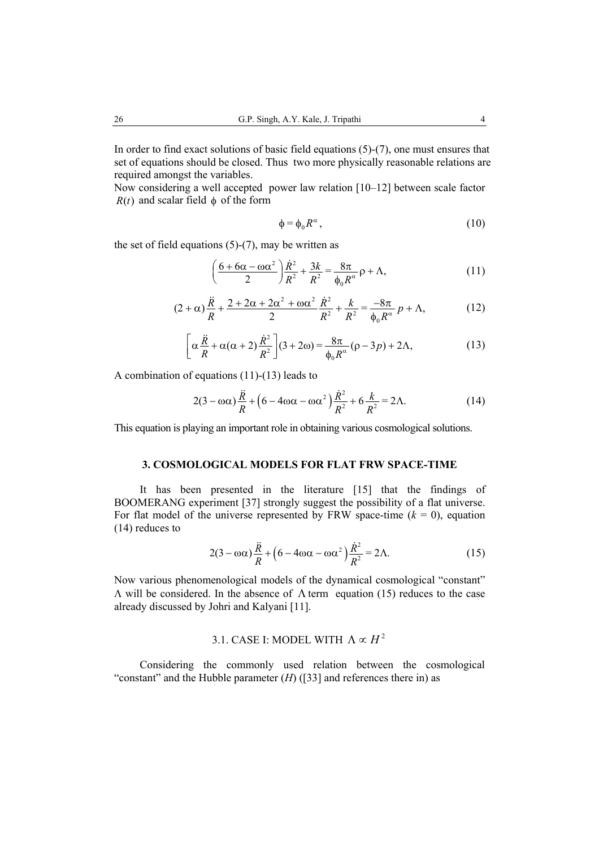In order to find exact solutions of basic field equations (5)-(7), one must ensures that set of equations should be closed. Thus two more physically reasonable relations are required amongst the variables.

Now considering a well accepted power law relation [10–12] between scale factor  $R(t)$  and scalar field  $\phi$  of the form

$$
\phi = \phi_0 R^{\alpha},\tag{10}
$$

the set of field equations  $(5)-(7)$ , may be written as

$$
\left(\frac{6+6\alpha-\omega\alpha^2}{2}\right)\frac{\dot{R}^2}{R^2}+\frac{3k}{R^2}=\frac{8\pi}{\phi_0R^\alpha}\rho+\Lambda,\tag{11}
$$

$$
(2+\alpha)\frac{\ddot{R}}{R} + \frac{2+2\alpha+2\alpha^2+\omega\alpha^2}{2}\frac{\dot{R}^2}{R^2} + \frac{k}{R^2} = \frac{-8\pi}{\phi_0 R^{\alpha}}p + \Lambda,\tag{12}
$$

$$
\left[\alpha \frac{\ddot{R}}{R} + \alpha(\alpha + 2) \frac{\dot{R}^2}{R^2}\right](3 + 2\omega) = \frac{8\pi}{\phi_0 R^{\alpha}} (\rho - 3p) + 2\Lambda,\tag{13}
$$

A combination of equations (11)-(13) leads to

$$
2(3 - \omega\alpha)\frac{\ddot{R}}{R} + \left(6 - 4\omega\alpha - \omega\alpha^2\right)\frac{\dot{R}^2}{R^2} + 6\frac{k}{R^2} = 2\Lambda.
$$
 (14)

This equation is playing an important role in obtaining various cosmological solutions.

## **3. COSMOLOGICAL MODELS FOR FLAT FRW SPACE-TIME**

It has been presented in the literature [15] that the findings of BOOMERANG experiment [37] strongly suggest the possibility of a flat universe. For flat model of the universe represented by FRW space-time  $(k = 0)$ , equation (14) reduces to

$$
2(3 - \omega\alpha)\frac{\ddot{R}}{R} + \left(6 - 4\omega\alpha - \omega\alpha^2\right)\frac{\dot{R}^2}{R^2} = 2\Lambda.
$$
 (15)

Now various phenomenological models of the dynamical cosmological "constant" Λ will be considered. In the absence of Λ term equation (15) reduces to the case already discussed by Johri and Kalyani [11].

# 3.1. CASE I: MODEL WITH  $\Lambda \propto H^2$

Considering the commonly used relation between the cosmological "constant" and the Hubble parameter  $(H)$  ([33] and references there in) as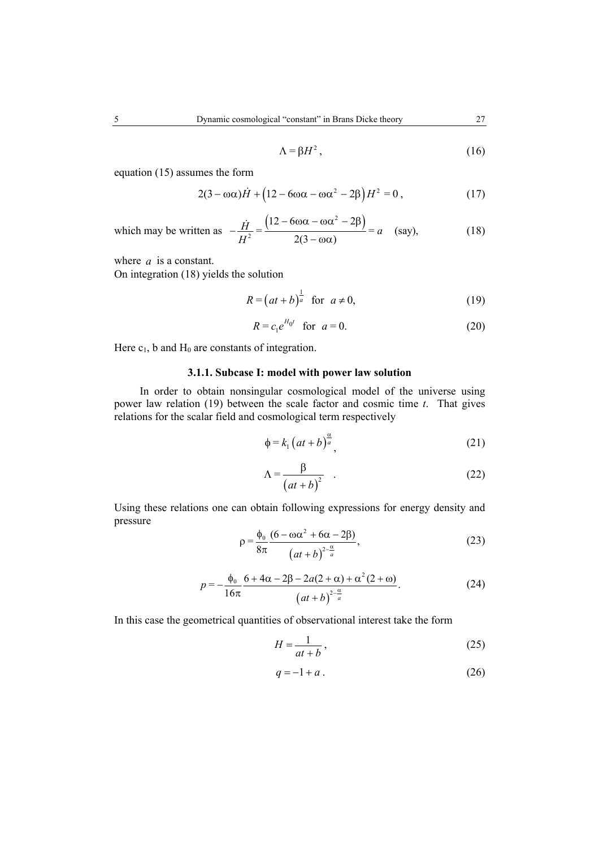$$
\Lambda = \beta H^2, \tag{16}
$$

equation (15) assumes the form

$$
2(3 - \omega\alpha)\dot{H} + (12 - 6\omega\alpha - \omega\alpha^2 - 2\beta)H^2 = 0, \qquad (17)
$$

which may be written as  $-\frac{\dot{H}}{H^2} = \frac{(12 - 6\omega\alpha - \omega\alpha^2 - 2\beta)}{2(3 - \omega\alpha)}$  $12 - 6\omega\alpha - \omega\alpha^2 - 2$  $\frac{\dot{H}}{H^2} = \frac{(12 - 600\alpha - 60\alpha - 2\beta)}{2(3 - \alpha\alpha)} = a$  (say),  $-\frac{\dot{H}}{H^2} = \frac{(12 - 6\omega\alpha - \omega\alpha^2 - 2\beta)}{2(3 - \omega\alpha)} = a$  (say), (18)

where *a* is a constant.

On integration (18) yields the solution

$$
R = \left(at + b\right)^{\frac{1}{a}} \quad \text{for} \quad a \neq 0,\tag{19}
$$

$$
R = c_1 e^{H_0 t} \text{ for } a = 0.
$$
 (20)

Here  $c_1$ , b and  $H_0$  are constants of integration.

# **3.1.1. Subcase I: model with power law solution**

 In order to obtain nonsingular cosmological model of the universe using power law relation (19) between the scale factor and cosmic time *t*. That gives relations for the scalar field and cosmological term respectively

$$
\phi = k_1 \left( at + b \right)^{\frac{\alpha}{a}}, \tag{21}
$$

$$
\Lambda = \frac{\beta}{\left(at+b\right)^2} \quad . \tag{22}
$$

Using these relations one can obtain following expressions for energy density and pressure

$$
\rho = \frac{\phi_0}{8\pi} \frac{(6 - \omega\alpha^2 + 6\alpha - 2\beta)}{(at + b)^{2 - \frac{\alpha}{a}}},
$$
\n(23)

$$
p = -\frac{\phi_0}{16\pi} \frac{6 + 4\alpha - 2\beta - 2a(2 + \alpha) + \alpha^2 (2 + \omega)}{(at + b)^{\frac{2 - \alpha}{a}}}.
$$
 (24)

In this case the geometrical quantities of observational interest take the form

$$
H = \frac{1}{at+b},\tag{25}
$$

$$
q = -1 + a \tag{26}
$$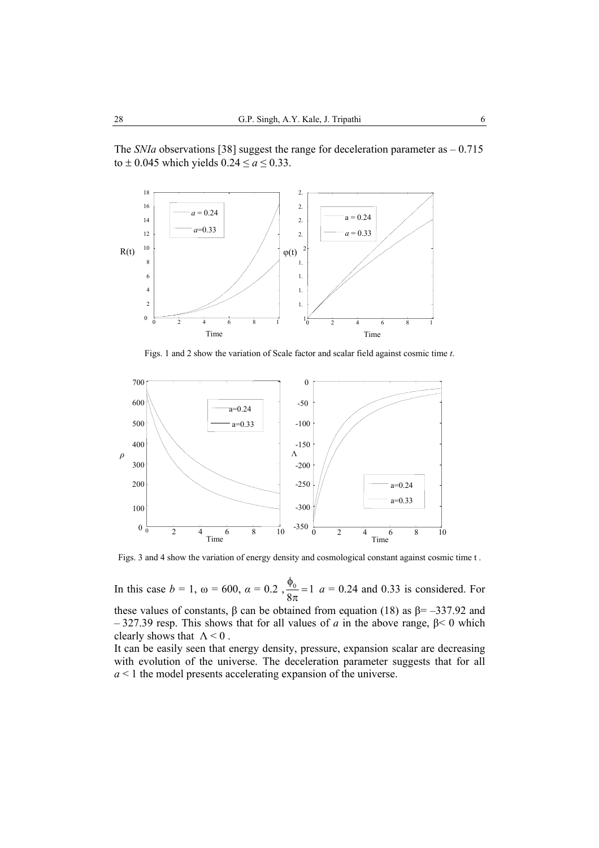The *SNIa* observations [38] suggest the range for deceleration parameter as  $-0.715$ to  $\pm$  0.045 which yields  $0.24 \le a \le 0.33$ .



Figs. 1 and 2 show the variation of Scale factor and scalar field against cosmic time *t*.



Figs. 3 and 4 show the variation of energy density and cosmological constant against cosmic time t .

In this case  $b = 1$ , ω = 600, α = 0.2,  $\frac{\varphi_0}{\circ} = 1$  $\frac{\phi_0}{8\pi}$  = 1 *a* = 0.24 and 0.33 is considered. For these values of constants, β can be obtained from equation (18) as  $β = -337.92$  and – 327.39 resp. This shows that for all values of *a* in the above range, β< 0 which clearly shows that  $\Lambda < 0$ .

It can be easily seen that energy density, pressure, expansion scalar are decreasing with evolution of the universe. The deceleration parameter suggests that for all *a* < 1 the model presents accelerating expansion of the universe.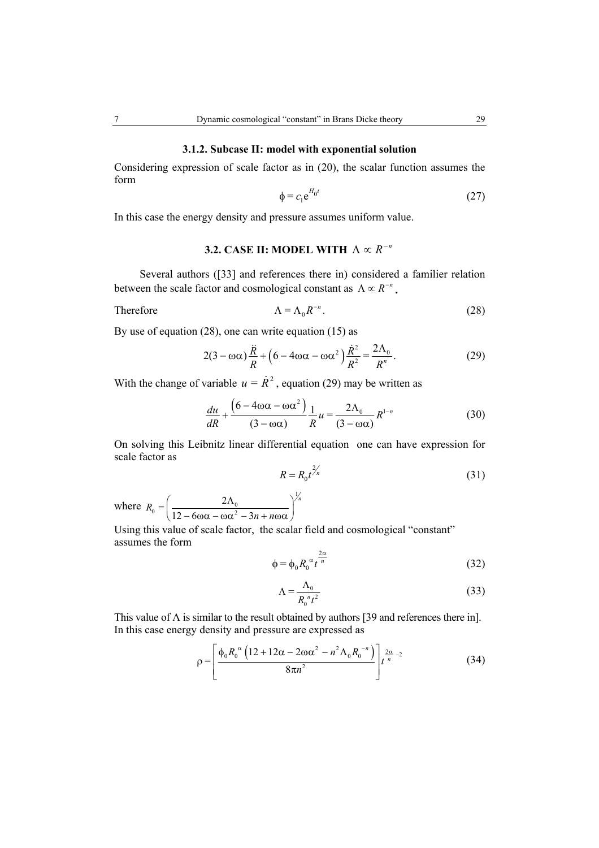#### **3.1.2. Subcase II: model with exponential solution**

Considering expression of scale factor as in (20), the scalar function assumes the form

$$
\phi = c_1 e^{H_0 t} \tag{27}
$$

In this case the energy density and pressure assumes uniform value.

# **3.2. CASE II: MODEL WITH**  $\Lambda \propto R^{-n}$

Several authors ([33] and references there in) considered a familier relation between the scale factor and cosmological constant as  $\Lambda \propto R^{-n}$ .

Therefore

$$
\Lambda = \Lambda_0 R^{-n}.\tag{28}
$$

By use of equation (28), one can write equation (15) as

$$
2(3 - \omega\alpha)\frac{\ddot{R}}{R} + \left(6 - 4\omega\alpha - \omega\alpha^2\right)\frac{\dot{R}^2}{R^2} = \frac{2\Lambda_0}{R^n}.
$$
 (29)

With the change of variable  $u = \dot{R}^2$ , equation (29) may be written as

$$
\frac{du}{dR} + \frac{\left(6 - 4\omega\alpha - \omega\alpha^2\right)}{(3 - \omega\alpha)}\frac{1}{R}u = \frac{2\Lambda_0}{(3 - \omega\alpha)}R^{1-n} \tag{30}
$$

On solving this Leibnitz linear differential equation one can have expression for scale factor as  $R = I$ 

$$
R = R_0 t^{\frac{1}{n}} \tag{31}
$$

where 1  $R_0 = \left(\frac{2\Lambda_0}{12 - 6\omega\alpha - \omega\alpha^2 - 3n + n\omega\alpha}\right)^{\gamma_n}$  $n + n$  $\left(\frac{2\Lambda_0}{12-6\omega\alpha-\omega\alpha^2-3n+n\omega\alpha}\right)^{\gamma_n}$ 

Using this value of scale factor, the scalar field and cosmological "constant" assumes the form 2

$$
\phi = \phi_0 R_0^{\alpha} t^{\frac{2\alpha}{n}}
$$
 (32)

$$
\Lambda = \frac{\Lambda_0}{R_0^{n} t^2} \tag{33}
$$

This value of  $\Lambda$  is similar to the result obtained by authors [39 and references there in]. In this case energy density and pressure are expressed as

$$
\rho = \left[ \frac{\phi_0 R_0^{\alpha} \left( 12 + 12\alpha - 2\omega\alpha^2 - n^2 \Lambda_0 R_0^{-n} \right)}{8\pi n^2} \right] t^{\frac{2\alpha}{n} - 2}
$$
(34)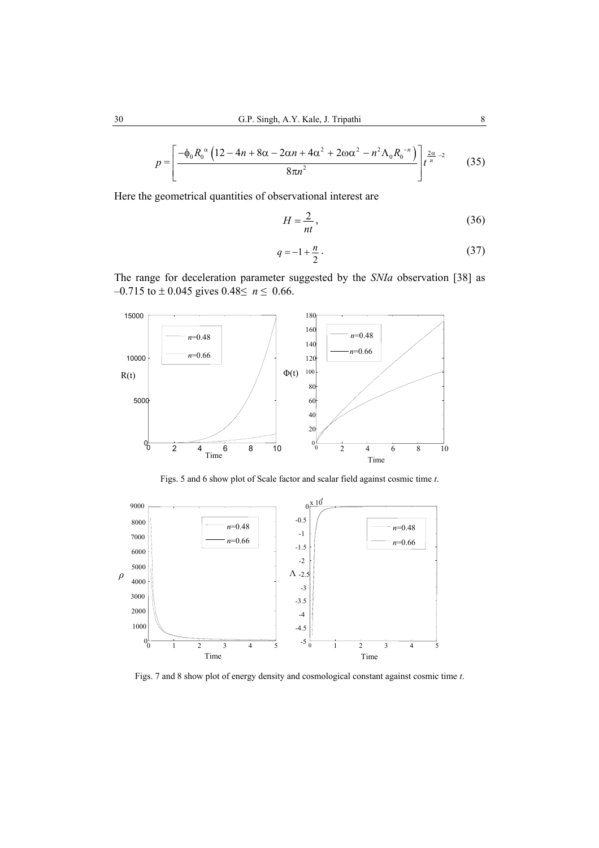$$
p = \left[\frac{-\phi_0 R_0^{\alpha} \left(12 - 4n + 8\alpha - 2\alpha n + 4\alpha^2 + 2\omega \alpha^2 - n^2 \Lambda_0 R_0^{-n}\right)}{8\pi n^2}\right] t^{\frac{2\alpha}{n} - 2} \tag{35}
$$

Here the geometrical quantities of observational interest are

$$
H = \frac{2}{nt},\tag{36}
$$

$$
q = -1 + \frac{n}{2} \tag{37}
$$

The range for deceleration parameter suggested by the *SNIa* observation [38] as –0.715 to ± 0.045 gives 0.48≤ *n* ≤ 0.66.



Figs. 5 and 6 show plot of Scale factor and scalar field against cosmic time *t*.



Figs. 7 and 8 show plot of energy density and cosmological constant against cosmic time *t*.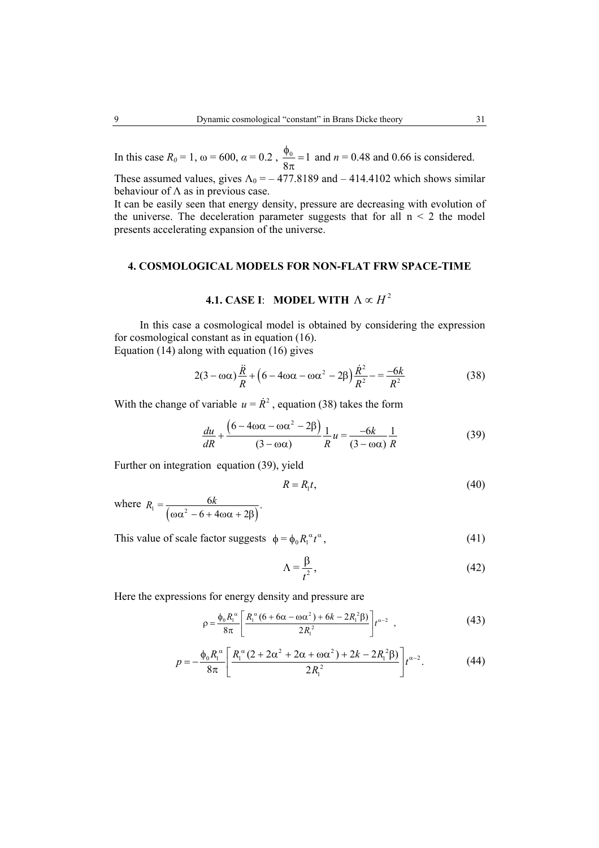In this case  $R_0 = 1$ , ω = 600, α = 0.2,  $\frac{\phi_0}{8\pi} = 1$  and  $n = 0.48$  and 0.66 is considered. These assumed values, gives  $\Lambda_0 = -477.8189$  and  $-414.4102$  which shows similar

behaviour of  $\Lambda$  as in previous case. It can be easily seen that energy density, pressure are decreasing with evolution of the universe. The deceleration parameter suggests that for all  $n \leq 2$  the model presents accelerating expansion of the universe.

## **4. COSMOLOGICAL MODELS FOR NON-FLAT FRW SPACE-TIME**

# **4.1. CASE I**: **MODEL WITH**  $\Lambda \propto H^2$

 In this case a cosmological model is obtained by considering the expression for cosmological constant as in equation (16). Equation (14) along with equation (16) gives

$$
2(3 - \omega\alpha)\frac{\ddot{R}}{R} + (6 - 4\omega\alpha - \omega\alpha^2 - 2\beta)\frac{\dot{R}^2}{R^2} - \frac{-6k}{R^2}
$$
 (38)

With the change of variable  $u = \dot{R}^2$ , equation (38) takes the form

$$
\frac{du}{dR} + \frac{\left(6 - 4\omega\alpha - \omega\alpha^2 - 2\beta\right)}{\left(3 - \omega\alpha\right)} \frac{1}{R} u = \frac{-6k}{\left(3 - \omega\alpha\right)} \frac{1}{R} \tag{39}
$$

Further on integration equation (39), yield

$$
R = R_1 t,\tag{40}
$$

where  $R_1 = \frac{6k}{(\omega \alpha^2 - 6 + 4\omega \alpha + 2\beta)}$  $=\frac{6k}{(n^2+1)^2}$  $6+4\omega\alpha+2$  $R_1 = \frac{6k}{6}$ ωα<sup>2</sup> – 6 + 4ωα + 2β

This value of scale factor suggests  $\phi = \phi_0 R_1^{\alpha} t^{\alpha}$ , (41)

$$
\Lambda = \frac{\beta}{t^2},\tag{42}
$$

Here the expressions for energy density and pressure are

$$
\rho = \frac{\phi_0 R_1^{\alpha}}{8\pi} \left[ \frac{R_1^{\alpha} (6 + 6\alpha - \omega \alpha^2) + 6k - 2R_1^2 \beta)}{2R_1^2} \right] t^{\alpha - 2} , \qquad (43)
$$

$$
p = -\frac{\phi_0 R_1^{\alpha}}{8\pi} \left[ \frac{R_1^{\alpha} (2 + 2\alpha^2 + 2\alpha + \omega \alpha^2) + 2k - 2R_1^{\alpha} \beta)}{2R_1^{\alpha}} \right] t^{\alpha - 2}.
$$
 (44)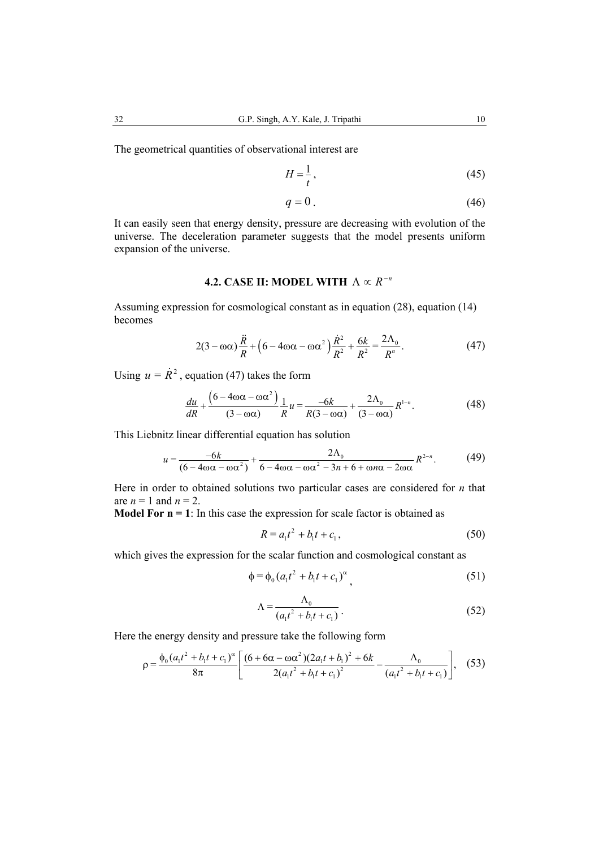The geometrical quantities of observational interest are

$$
H = \frac{1}{t},\tag{45}
$$

$$
q = 0. \tag{46}
$$

It can easily seen that energy density, pressure are decreasing with evolution of the universe. The deceleration parameter suggests that the model presents uniform expansion of the universe.

# **4.2. CASE II: MODEL WITH**  $\Lambda \propto R^{-n}$

Assuming expression for cosmological constant as in equation (28), equation (14) becomes

$$
2(3 - \omega\alpha)\frac{\ddot{R}}{R} + \left(6 - 4\omega\alpha - \omega\alpha^2\right)\frac{\dot{R}^2}{R^2} + \frac{6k}{R^2} = \frac{2\Lambda_0}{R^n}.
$$
 (47)

Using  $u = \dot{R}^2$ , equation (47) takes the form

$$
\frac{du}{dR} + \frac{\left(6 - 4\omega\alpha - \omega\alpha^2\right)}{(3 - \omega\alpha)}\frac{1}{R}u = \frac{-6k}{R(3 - \omega\alpha)} + \frac{2\Lambda_0}{(3 - \omega\alpha)}R^{1-n}.\tag{48}
$$

This Liebnitz linear differential equation has solution

$$
u = \frac{-6k}{(6 - 4\omega\alpha - \omega\alpha^2)} + \frac{2\Lambda_0}{6 - 4\omega\alpha - \omega\alpha^2 - 3n + 6 + \omega n\alpha - 2\omega\alpha}R^{2-n}.
$$
 (49)

Here in order to obtained solutions two particular cases are considered for *n* that are  $n = 1$  and  $n = 2$ .

**Model For**  $n = 1$ **:** In this case the expression for scale factor is obtained as

$$
R = a_1 t^2 + b_1 t + c_1, \tag{50}
$$

which gives the expression for the scalar function and cosmological constant as

$$
\phi = \phi_0 (a_1 t^2 + b_1 t + c_1)^{\alpha}, \tag{51}
$$

$$
\Lambda = \frac{\Lambda_0}{\left(a_1 t^2 + b_1 t + c_1\right)}\,. \tag{52}
$$

Here the energy density and pressure take the following form

$$
\rho = \frac{\phi_0 (a_1 t^2 + b_1 t + c_1)^{\alpha}}{8\pi} \left[ \frac{(6 + 6\alpha - \omega \alpha^2)(2a_1 t + b_1)^2 + 6k}{2(a_1 t^2 + b_1 t + c_1)^2} - \frac{\Lambda_0}{(a_1 t^2 + b_1 t + c_1)} \right], \quad (53)
$$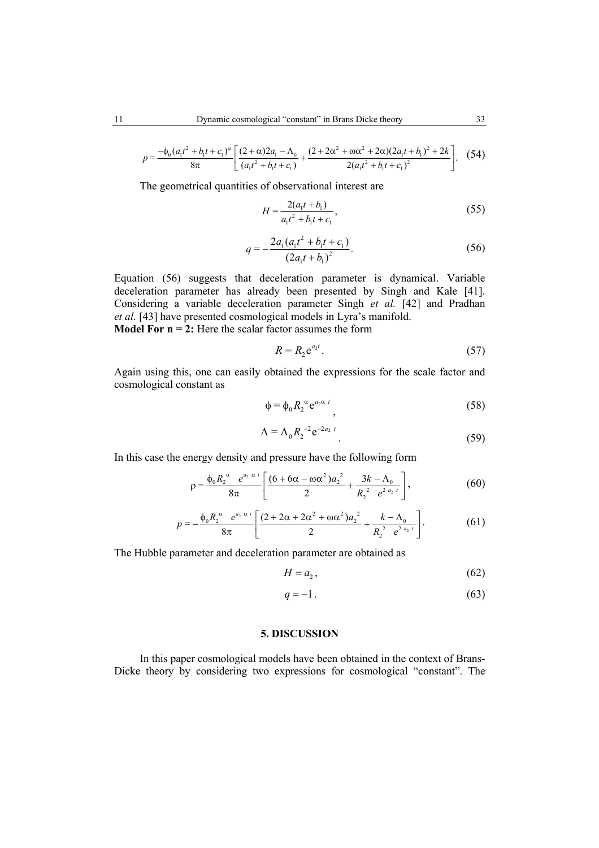$$
p = \frac{-\phi_0 (a_1 t^2 + b_1 t + c_1)^{\alpha}}{8\pi} \left[ \frac{(2+\alpha)2a_1 - \Lambda_0}{(a_1 t^2 + b_1 t + c_1)} + \frac{(2+2\alpha^2 + \omega \alpha^2 + 2\alpha)(2a_1 t + b_1)^2 + 2k}{2(a_1 t^2 + b_1 t + c_1)^2} \right].
$$
 (54)

The geometrical quantities of observational interest are

$$
H = \frac{2(a_1 t + b_1)}{a_1 t^2 + b_1 t + c_1},
$$
\n(55)

$$
q = -\frac{2a_1(a_1t^2 + b_1t + c_1)}{(2a_1t + b_1)^2}.
$$
 (56)

Equation (56) suggests that deceleration parameter is dynamical. Variable deceleration parameter has already been presented by Singh and Kale [41]. Considering a variable deceleration parameter Singh *et al.* [42] and Pradhan *et al.* [43] have presented cosmological models in Lyra's manifold. **Model For**  $n = 2$ **:** Here the scalar factor assumes the form

$$
R = R_2 e^{a_2 t}.
$$

Again using this, one can easily obtained the expressions for the scale factor and cosmological constant as

$$
\phi = \phi_0 R_2^{\alpha} e^{a_2 \alpha t}, \qquad (58)
$$

$$
\Lambda = \Lambda_0 R_2^{-2} e^{-2a_2 t} \tag{59}
$$

In this case the energy density and pressure have the following form

$$
\rho = \frac{\phi_0 R_2^{\alpha} e^{a_2 \alpha t}}{8\pi} \left[ \frac{(6 + 6\alpha - \omega \alpha^2) a_2^2}{2} + \frac{3k - \Lambda_0}{R_2^2 e^{2 a_2 t}} \right],
$$
(60)

$$
p = -\frac{\phi_0 R_2^{\alpha} e^{a_2 \alpha t}}{8\pi} \left[ \frac{(2 + 2\alpha + 2\alpha^2 + \omega \alpha^2) a_2^2}{2} + \frac{k - \Lambda_0}{R_2^2 e^{2 a_2 t}} \right].
$$
 (61)

The Hubble parameter and deceleration parameter are obtained as

$$
H = a_2, \tag{62}
$$

$$
q = -1.\tag{63}
$$

### **5. DISCUSSION**

In this paper cosmological models have been obtained in the context of Brans-Dicke theory by considering two expressions for cosmological "constant". The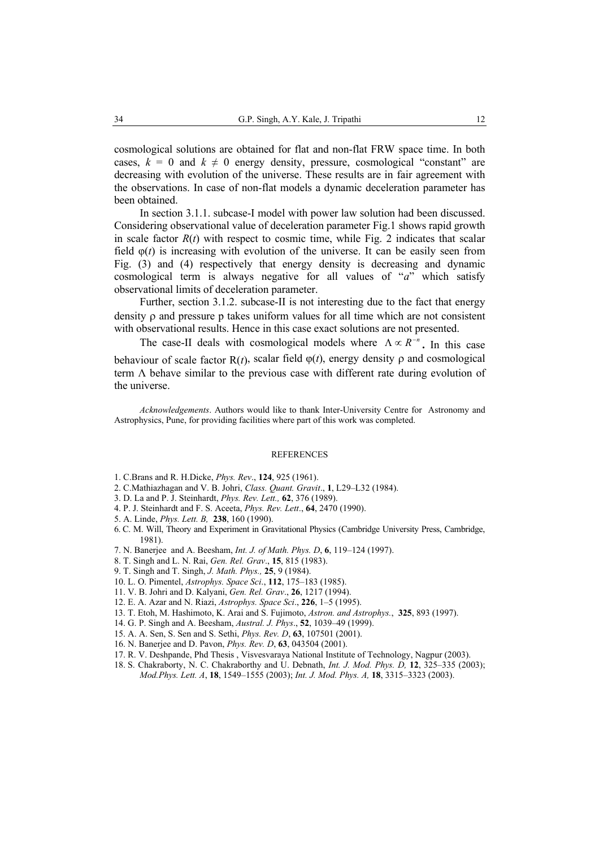cosmological solutions are obtained for flat and non-flat FRW space time. In both cases,  $k = 0$  and  $k \neq 0$  energy density, pressure, cosmological "constant" are decreasing with evolution of the universe. These results are in fair agreement with the observations. In case of non-flat models a dynamic deceleration parameter has been obtained.

In section 3.1.1. subcase-I model with power law solution had been discussed. Considering observational value of deceleration parameter Fig.1 shows rapid growth in scale factor  $R(t)$  with respect to cosmic time, while Fig. 2 indicates that scalar field  $\varphi(t)$  is increasing with evolution of the universe. It can be easily seen from Fig. (3) and (4) respectively that energy density is decreasing and dynamic cosmological term is always negative for all values of "*a*" which satisfy observational limits of deceleration parameter.

Further, section 3.1.2. subcase-II is not interesting due to the fact that energy density ρ and pressure p takes uniform values for all time which are not consistent with observational results. Hence in this case exact solutions are not presented.

The case-II deals with cosmological models where  $\Lambda \propto R^{-n}$ . In this case behaviour of scale factor  $R(t)$ , scalar field  $\varphi(t)$ , energy density  $\rho$  and cosmological term  $\Lambda$  behave similar to the previous case with different rate during evolution of the universe.

*Acknowledgements*. Authors would like to thank Inter-University Centre for Astronomy and Astrophysics, Pune, for providing facilities where part of this work was completed.

#### **REFERENCES**

- 1. C.Brans and R. H.Dicke, *Phys. Rev*., **124**, 925 (1961).
- 2. C.Mathiazhagan and V. B. Johri, *Class. Quant. Gravit*., **1**, L29–L32 (1984).
- 3. D. La and P. J. Steinhardt, *Phys. Rev. Lett.,* **62**, 376 (1989).
- 4. P. J. Steinhardt and F. S. Aceeta, *Phys. Rev. Lett*., **64**, 2470 (1990).
- 5. A. Linde, *Phys. Lett. B,* **238**, 160 (1990).
- 6. C. M. Will, Theory and Experiment in Gravitational Physics (Cambridge University Press, Cambridge, 1981).
- 7. N. Banerjee and A. Beesham, *Int. J. of Math. Phys. D*, **6**, 119–124 (1997).
- 8. T. Singh and L. N. Rai, *Gen. Rel. Grav*., **15**, 815 (1983).
- 9. T. Singh and T. Singh, *J. Math. Phys.,* **25**, 9 (1984).
- 10. L. O. Pimentel, *Astrophys. Space Sci*., **112**, 175–183 (1985).
- 11. V. B. Johri and D. Kalyani, *Gen. Rel. Grav*., **26**, 1217 (1994).
- 12. E. A. Azar and N. Riazi, *Astrophys. Space Sci*., **226**, 1–5 (1995).
- 13. T. Etoh, M. Hashimoto, K. Arai and S. Fujimoto, *Astron. and Astrophys.*, **325**, 893 (1997).
- 14. G. P. Singh and A. Beesham, *Austral. J. Phys*., **52**, 1039–49 (1999).
- 15. A. A. Sen, S. Sen and S. Sethi, *Phys. Rev. D*, **63**, 107501 (2001).
- 16. N. Banerjee and D. Pavon, *Phys. Rev. D*, **63**, 043504 (2001).
- 17. R. V. Deshpande, Phd Thesis , Visvesvaraya National Institute of Technology, Nagpur (2003).
- 18. S. Chakraborty, N. C. Chakraborthy and U. Debnath, *Int. J. Mod. Phys. D,* **12**, 325–335 (2003); *Mod.Phys. Lett. A*, **18**, 1549–1555 (2003); *Int. J. Mod. Phys. A,* **18**, 3315–3323 (2003).